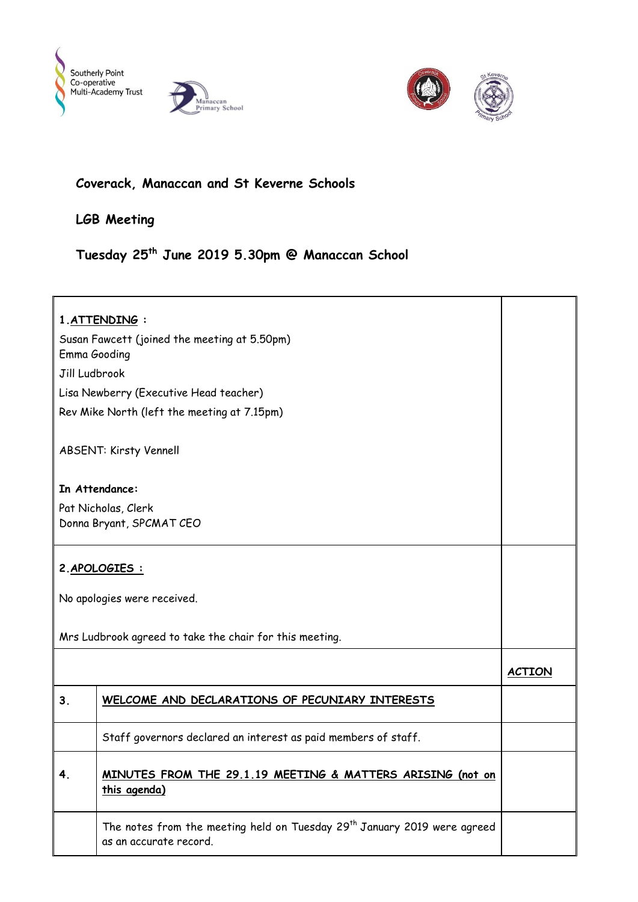





## **Coverack, Manaccan and St Keverne Schools**

**LGB Meeting**

**Tuesday 25th June 2019 5.30pm @ Manaccan School**

| 1. ATTENDING:                                                |                                                                                                                |               |
|--------------------------------------------------------------|----------------------------------------------------------------------------------------------------------------|---------------|
| Susan Fawcett (joined the meeting at 5.50pm)<br>Emma Gooding |                                                                                                                |               |
| Jill Ludbrook                                                |                                                                                                                |               |
|                                                              | Lisa Newberry (Executive Head teacher)                                                                         |               |
| Rev Mike North (left the meeting at 7.15pm)                  |                                                                                                                |               |
|                                                              |                                                                                                                |               |
| <b>ABSENT: Kirsty Vennell</b>                                |                                                                                                                |               |
| In Attendance:                                               |                                                                                                                |               |
| Pat Nicholas, Clerk                                          |                                                                                                                |               |
|                                                              | Donna Bryant, SPCMAT CEO                                                                                       |               |
|                                                              |                                                                                                                |               |
| 2. APOLOGIES :                                               |                                                                                                                |               |
|                                                              |                                                                                                                |               |
|                                                              | No apologies were received.                                                                                    |               |
|                                                              |                                                                                                                |               |
| Mrs Ludbrook agreed to take the chair for this meeting.      |                                                                                                                |               |
|                                                              |                                                                                                                | <b>ACTION</b> |
| 3 <sub>1</sub>                                               | WELCOME AND DECLARATIONS OF PECUNIARY INTERESTS                                                                |               |
|                                                              |                                                                                                                |               |
|                                                              | Staff governors declared an interest as paid members of staff.                                                 |               |
|                                                              | <u>MINUTES FROM THE 29.1.19 MEETING</u><br><b>G MAIICKS AKISING (NOT ON</b><br>this agenda)                    |               |
|                                                              | The notes from the meeting held on Tuesday 29 <sup>th</sup> January 2019 were agreed<br>as an accurate record. |               |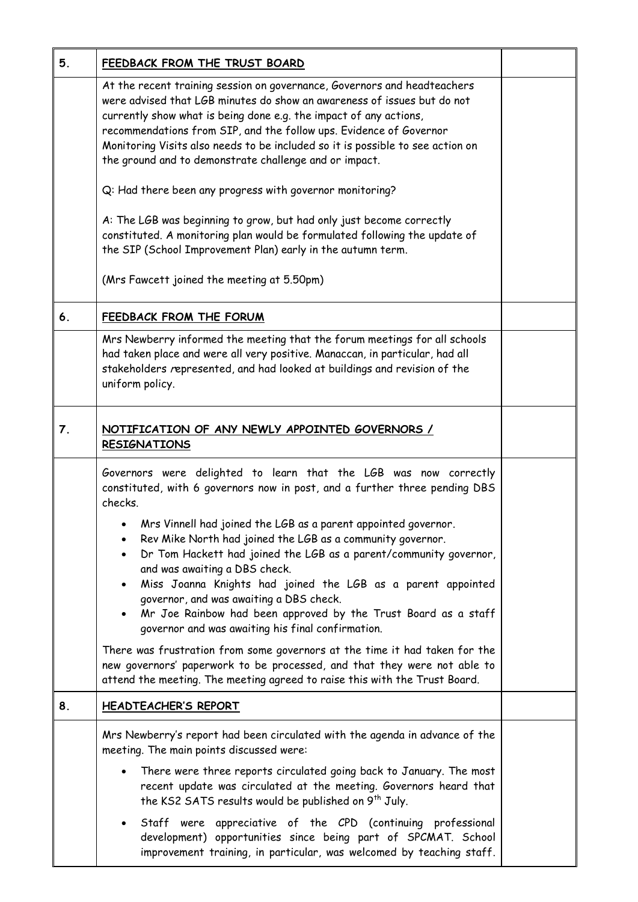| 5. | FEEDBACK FROM THE TRUST BOARD                                                                                                                                                                                                                                                                                                                                                                                                                                                                  |  |
|----|------------------------------------------------------------------------------------------------------------------------------------------------------------------------------------------------------------------------------------------------------------------------------------------------------------------------------------------------------------------------------------------------------------------------------------------------------------------------------------------------|--|
|    | At the recent training session on governance, Governors and headteachers<br>were advised that LGB minutes do show an awareness of issues but do not<br>currently show what is being done e.g. the impact of any actions,<br>recommendations from SIP, and the follow ups. Evidence of Governor<br>Monitoring Visits also needs to be included so it is possible to see action on<br>the ground and to demonstrate challenge and or impact.                                                     |  |
|    | Q: Had there been any progress with governor monitoring?                                                                                                                                                                                                                                                                                                                                                                                                                                       |  |
|    | A: The LGB was beginning to grow, but had only just become correctly<br>constituted. A monitoring plan would be formulated following the update of<br>the SIP (School Improvement Plan) early in the autumn term.                                                                                                                                                                                                                                                                              |  |
|    | (Mrs Fawcett joined the meeting at 5.50pm)                                                                                                                                                                                                                                                                                                                                                                                                                                                     |  |
| 6. | <b>FEEDBACK FROM THE FORUM</b>                                                                                                                                                                                                                                                                                                                                                                                                                                                                 |  |
|    | Mrs Newberry informed the meeting that the forum meetings for all schools<br>had taken place and were all very positive. Manaccan, in particular, had all<br>stakeholders represented, and had looked at buildings and revision of the<br>uniform policy.                                                                                                                                                                                                                                      |  |
| 7. | <u>NOTIFICATION OF ANY NEWLY APPOINTED GOVERNORS /</u><br><b>RESIGNATIONS</b>                                                                                                                                                                                                                                                                                                                                                                                                                  |  |
|    | Governors were delighted to learn that the LGB was now correctly<br>constituted, with 6 governors now in post, and a further three pending DBS<br>checks.                                                                                                                                                                                                                                                                                                                                      |  |
|    | Mrs Vinnell had joined the LGB as a parent appointed governor.<br>Rev Mike North had joined the LGB as a community governor.<br>$\bullet$<br>Dr Tom Hackett had joined the LGB as a parent/community governor,<br>and was awaiting a DBS check.<br>Miss Joanna Knights had joined the LGB as a parent appointed<br>$\bullet$<br>governor, and was awaiting a DBS check.<br>Mr Joe Rainbow had been approved by the Trust Board as a staff<br>governor and was awaiting his final confirmation. |  |
|    | There was frustration from some governors at the time it had taken for the<br>new governors' paperwork to be processed, and that they were not able to<br>attend the meeting. The meeting agreed to raise this with the Trust Board.                                                                                                                                                                                                                                                           |  |
| 8. | <b>HEADTEACHER'S REPORT</b>                                                                                                                                                                                                                                                                                                                                                                                                                                                                    |  |
|    | Mrs Newberry's report had been circulated with the agenda in advance of the<br>meeting. The main points discussed were:                                                                                                                                                                                                                                                                                                                                                                        |  |
|    | There were three reports circulated going back to January. The most<br>recent update was circulated at the meeting. Governors heard that<br>the KS2 SATS results would be published on 9 <sup>th</sup> July.                                                                                                                                                                                                                                                                                   |  |
|    | Staff were appreciative of the CPD (continuing professional<br>development) opportunities since being part of SPCMAT. School<br>improvement training, in particular, was welcomed by teaching staff.                                                                                                                                                                                                                                                                                           |  |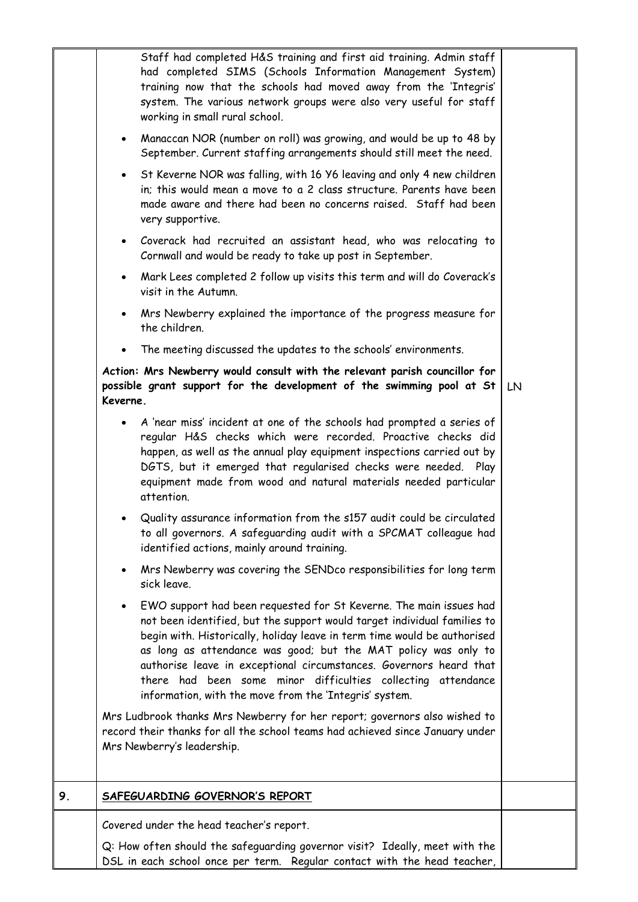|    | Staff had completed H&S training and first aid training. Admin staff<br>had completed SIMS (Schools Information Management System)<br>training now that the schools had moved away from the 'Integris'<br>system. The various network groups were also very useful for staff<br>working in small rural school.                                                                                                                                                                                            |    |
|----|-----------------------------------------------------------------------------------------------------------------------------------------------------------------------------------------------------------------------------------------------------------------------------------------------------------------------------------------------------------------------------------------------------------------------------------------------------------------------------------------------------------|----|
|    | Manaccan NOR (number on roll) was growing, and would be up to 48 by<br>$\bullet$<br>September. Current staffing arrangements should still meet the need.                                                                                                                                                                                                                                                                                                                                                  |    |
|    | St Keverne NOR was falling, with 16 Y6 leaving and only 4 new children<br>$\bullet$<br>in; this would mean a move to a 2 class structure. Parents have been<br>made aware and there had been no concerns raised. Staff had been<br>very supportive.                                                                                                                                                                                                                                                       |    |
|    | Coverack had recruited an assistant head, who was relocating to<br>$\bullet$<br>Cornwall and would be ready to take up post in September.                                                                                                                                                                                                                                                                                                                                                                 |    |
|    | Mark Lees completed 2 follow up visits this term and will do Coverack's<br>$\bullet$<br>visit in the Autumn.                                                                                                                                                                                                                                                                                                                                                                                              |    |
|    | Mrs Newberry explained the importance of the progress measure for<br>$\bullet$<br>the children.                                                                                                                                                                                                                                                                                                                                                                                                           |    |
|    | The meeting discussed the updates to the schools' environments.                                                                                                                                                                                                                                                                                                                                                                                                                                           |    |
|    | Action: Mrs Newberry would consult with the relevant parish councillor for<br>possible grant support for the development of the swimming pool at St<br>Keverne.                                                                                                                                                                                                                                                                                                                                           | LN |
|    | A 'near miss' incident at one of the schools had prompted a series of<br>$\bullet$<br>regular H&S checks which were recorded. Proactive checks did<br>happen, as well as the annual play equipment inspections carried out by<br>DGTS, but it emerged that regularised checks were needed. Play<br>equipment made from wood and natural materials needed particular<br>attention.                                                                                                                         |    |
|    | Quality assurance information from the s157 audit could be circulated<br>to all governors. A safeguarding audit with a SPCMAT colleague had<br>identified actions, mainly around training.                                                                                                                                                                                                                                                                                                                |    |
|    | Mrs Newberry was covering the SENDco responsibilities for long term<br>$\bullet$<br>sick leave.                                                                                                                                                                                                                                                                                                                                                                                                           |    |
|    | EWO support had been requested for St Keverne. The main issues had<br>$\bullet$<br>not been identified, but the support would target individual families to<br>begin with. Historically, holiday leave in term time would be authorised<br>as long as attendance was good; but the MAT policy was only to<br>authorise leave in exceptional circumstances. Governors heard that<br>there had been some minor difficulties collecting attendance<br>information, with the move from the 'Integris' system. |    |
|    | Mrs Ludbrook thanks Mrs Newberry for her report; governors also wished to<br>record their thanks for all the school teams had achieved since January under<br>Mrs Newberry's leadership.                                                                                                                                                                                                                                                                                                                  |    |
| 9. | SAFEGUARDING GOVERNOR'S REPORT                                                                                                                                                                                                                                                                                                                                                                                                                                                                            |    |
|    | Covered under the head teacher's report.                                                                                                                                                                                                                                                                                                                                                                                                                                                                  |    |
|    | Q: How often should the safeguarding governor visit? Ideally, meet with the<br>DSL in each school once per term. Regular contact with the head teacher,                                                                                                                                                                                                                                                                                                                                                   |    |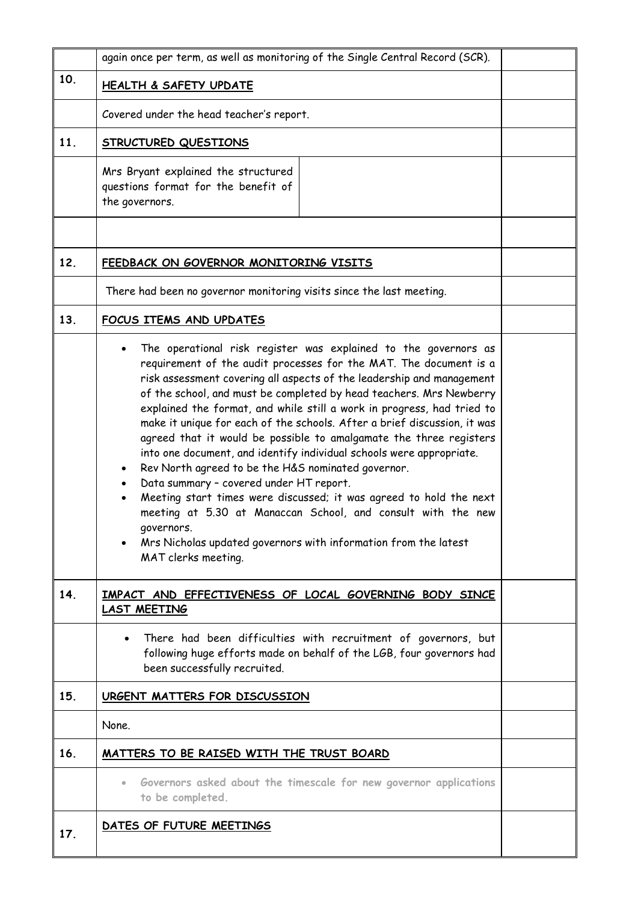|                 | again once per term, as well as monitoring of the Single Central Record (SCR).                                                                                                                                                                                                                                                                                                                                                                                                                                                                                                                                                                                                                                                                                                                                                                                                                                                                       |  |
|-----------------|------------------------------------------------------------------------------------------------------------------------------------------------------------------------------------------------------------------------------------------------------------------------------------------------------------------------------------------------------------------------------------------------------------------------------------------------------------------------------------------------------------------------------------------------------------------------------------------------------------------------------------------------------------------------------------------------------------------------------------------------------------------------------------------------------------------------------------------------------------------------------------------------------------------------------------------------------|--|
| 10 <sub>1</sub> | <b>HEALTH &amp; SAFETY UPDATE</b>                                                                                                                                                                                                                                                                                                                                                                                                                                                                                                                                                                                                                                                                                                                                                                                                                                                                                                                    |  |
|                 | Covered under the head teacher's report.                                                                                                                                                                                                                                                                                                                                                                                                                                                                                                                                                                                                                                                                                                                                                                                                                                                                                                             |  |
| 11.             | <b>STRUCTURED QUESTIONS</b>                                                                                                                                                                                                                                                                                                                                                                                                                                                                                                                                                                                                                                                                                                                                                                                                                                                                                                                          |  |
|                 | Mrs Bryant explained the structured<br>questions format for the benefit of<br>the governors.                                                                                                                                                                                                                                                                                                                                                                                                                                                                                                                                                                                                                                                                                                                                                                                                                                                         |  |
|                 |                                                                                                                                                                                                                                                                                                                                                                                                                                                                                                                                                                                                                                                                                                                                                                                                                                                                                                                                                      |  |
| 12.             | FEEDBACK ON GOVERNOR MONITORING VISITS                                                                                                                                                                                                                                                                                                                                                                                                                                                                                                                                                                                                                                                                                                                                                                                                                                                                                                               |  |
|                 | There had been no governor monitoring visits since the last meeting.                                                                                                                                                                                                                                                                                                                                                                                                                                                                                                                                                                                                                                                                                                                                                                                                                                                                                 |  |
| 13.             | FOCUS ITEMS AND UPDATES                                                                                                                                                                                                                                                                                                                                                                                                                                                                                                                                                                                                                                                                                                                                                                                                                                                                                                                              |  |
|                 | The operational risk register was explained to the governors as<br>requirement of the audit processes for the MAT. The document is a<br>risk assessment covering all aspects of the leadership and management<br>of the school, and must be completed by head teachers. Mrs Newberry<br>explained the format, and while still a work in progress, had tried to<br>make it unique for each of the schools. After a brief discussion, it was<br>agreed that it would be possible to amalgamate the three registers<br>into one document, and identify individual schools were appropriate.<br>Rev North agreed to be the H&S nominated governor.<br>Data summary - covered under HT report.<br>Meeting start times were discussed; it was agreed to hold the next<br>$\bullet$<br>meeting at 5.30 at Manaccan School, and consult with the new<br>governors.<br>Mrs Nicholas updated governors with information from the latest<br>MAT clerks meeting. |  |
| 14.             | IMPACT AND EFFECTIVENESS OF LOCAL GOVERNING BODY SINCE<br><b>LAST MEETING</b>                                                                                                                                                                                                                                                                                                                                                                                                                                                                                                                                                                                                                                                                                                                                                                                                                                                                        |  |
|                 | There had been difficulties with recruitment of governors, but<br>$\bullet$<br>following huge efforts made on behalf of the LGB, four governors had<br>been successfully recruited.                                                                                                                                                                                                                                                                                                                                                                                                                                                                                                                                                                                                                                                                                                                                                                  |  |
| 15.             | URGENT MATTERS FOR DISCUSSION                                                                                                                                                                                                                                                                                                                                                                                                                                                                                                                                                                                                                                                                                                                                                                                                                                                                                                                        |  |
|                 | None.                                                                                                                                                                                                                                                                                                                                                                                                                                                                                                                                                                                                                                                                                                                                                                                                                                                                                                                                                |  |
| 16.             | MATTERS TO BE RAISED WITH THE TRUST BOARD                                                                                                                                                                                                                                                                                                                                                                                                                                                                                                                                                                                                                                                                                                                                                                                                                                                                                                            |  |
|                 | Governors asked about the timescale for new governor applications<br>$\bullet$<br>to be completed.                                                                                                                                                                                                                                                                                                                                                                                                                                                                                                                                                                                                                                                                                                                                                                                                                                                   |  |
| 17.             | DATES OF FUTURE MEETINGS                                                                                                                                                                                                                                                                                                                                                                                                                                                                                                                                                                                                                                                                                                                                                                                                                                                                                                                             |  |